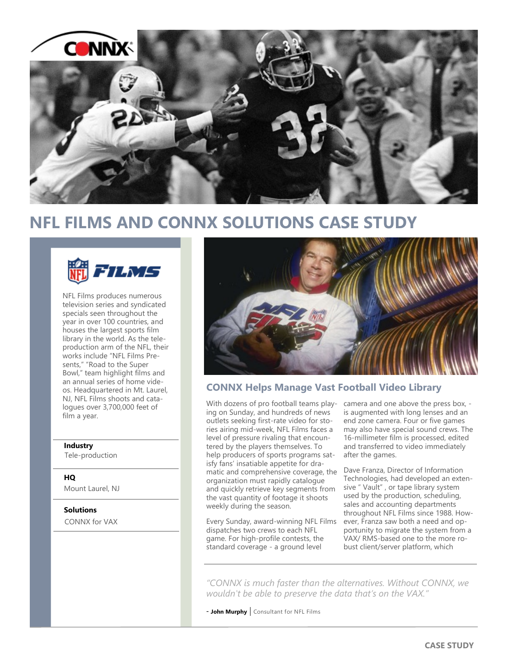

## **NFL FILMS AND CONNX SOLUTIONS CASE STUDY**



NFL Films produces numerous television series and syndicated specials seen throughout the year in over 100 countries, and houses the largest sports film library in the world. As the teleproduction arm of the NFL, their works include "NFL Films Presents," "Road to the Super Bowl," team highlight films and an annual series of home videos. Headquartered in Mt. Laurel, NJ, NFL Films shoots and catalogues over 3,700,000 feet of film a year.

### **Industry**

Tele-production

### **HQ**

Mount Laurel, NJ

### **Solutions**

CONNX for VAX



### **CONNX Helps Manage Vast Football Video Library**

With dozens of pro football teams play- camera and one above the press box, ing on Sunday, and hundreds of news outlets seeking first-rate video for stories airing mid-week, NFL Films faces a level of pressure rivaling that encountered by the players themselves. To help producers of sports programs satisfy fans' insatiable appetite for dramatic and comprehensive coverage, the organization must rapidly catalogue and quickly retrieve key segments from the vast quantity of footage it shoots weekly during the season.

Every Sunday, award-winning NFL Films dispatches two crews to each NFL game. For high-profile contests, the standard coverage - a ground level

is augmented with long lenses and an end zone camera. Four or five games may also have special sound crews. The 16-millimeter film is processed, edited and transferred to video immediately after the games.

Dave Franza, Director of Information Technologies, had developed an extensive " Vault" , or tape library system used by the production, scheduling, sales and accounting departments throughout NFL Films since 1988. However, Franza saw both a need and opportunity to migrate the system from a VAX/ RMS-based one to the more robust client/server platform, which

*"CONNX is much faster than the alternatives. Without CONNX, we wouldn't be able to preserve the data that's on the VAX."*

- **John Murphy** | Consultant for NFL Films